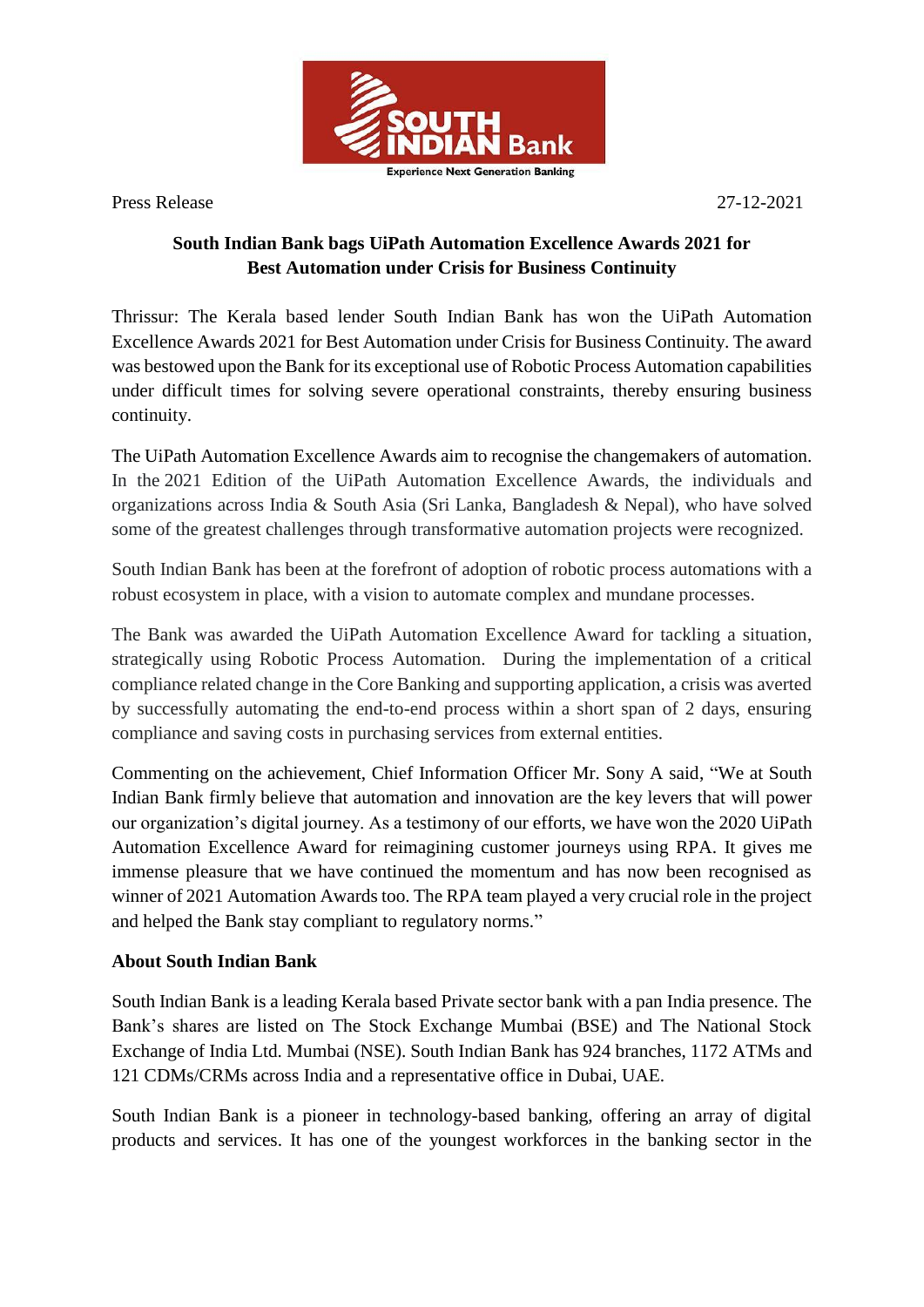

Press Release 27-12-2021

## **South Indian Bank bags UiPath Automation Excellence Awards 2021 for Best Automation under Crisis for Business Continuity**

Thrissur: The Kerala based lender South Indian Bank has won the UiPath Automation Excellence Awards 2021 for Best Automation under Crisis for Business Continuity. The award was bestowed upon the Bank for its exceptional use of Robotic Process Automation capabilities under difficult times for solving severe operational constraints, thereby ensuring business continuity.

The UiPath Automation Excellence Awards aim to recognise the changemakers of automation. In the 2021 Edition of the UiPath Automation Excellence Awards, the individuals and organizations across India & South Asia (Sri Lanka, Bangladesh & Nepal), who have solved some of the greatest challenges through transformative automation projects were recognized.

South Indian Bank has been at the forefront of adoption of robotic process automations with a robust ecosystem in place, with a vision to automate complex and mundane processes.

The Bank was awarded the UiPath Automation Excellence Award for tackling a situation, strategically using Robotic Process Automation. During the implementation of a critical compliance related change in the Core Banking and supporting application, a crisis was averted by successfully automating the end-to-end process within a short span of 2 days, ensuring compliance and saving costs in purchasing services from external entities.

Commenting on the achievement, Chief Information Officer Mr. Sony A said, "We at South Indian Bank firmly believe that automation and innovation are the key levers that will power our organization's digital journey. As a testimony of our efforts, we have won the 2020 UiPath Automation Excellence Award for reimagining customer journeys using RPA. It gives me immense pleasure that we have continued the momentum and has now been recognised as winner of 2021 Automation Awards too. The RPA team played a very crucial role in the project and helped the Bank stay compliant to regulatory norms."

## **About South Indian Bank**

South Indian Bank is a leading Kerala based Private sector bank with a pan India presence. The Bank's shares are listed on The Stock Exchange Mumbai (BSE) and The National Stock Exchange of India Ltd. Mumbai (NSE). South Indian Bank has 924 branches, 1172 ATMs and 121 CDMs/CRMs across India and a representative office in Dubai, UAE.

South Indian Bank is a pioneer in technology-based banking, offering an array of digital products and services. It has one of the youngest workforces in the banking sector in the